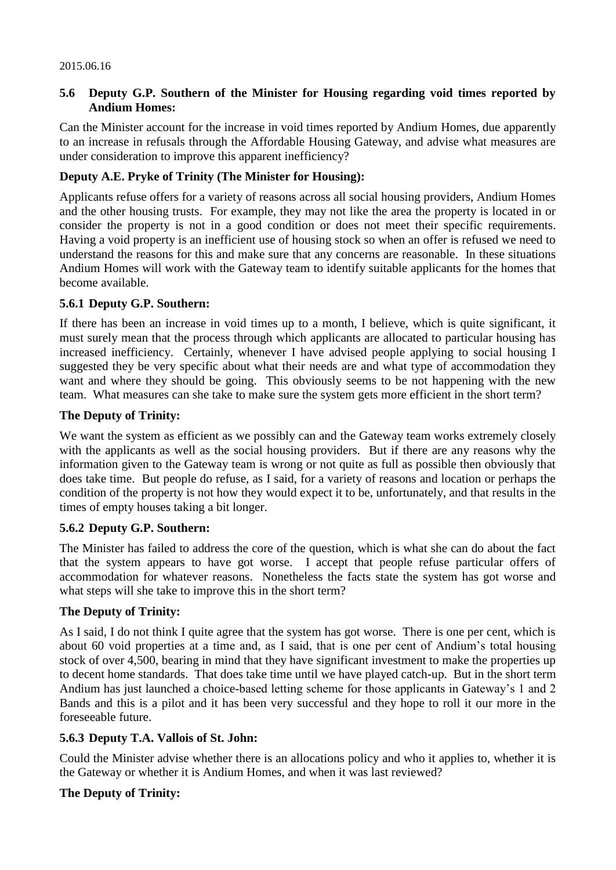### **5.6 Deputy G.P. Southern of the Minister for Housing regarding void times reported by Andium Homes:**

Can the Minister account for the increase in void times reported by Andium Homes, due apparently to an increase in refusals through the Affordable Housing Gateway, and advise what measures are under consideration to improve this apparent inefficiency?

## **Deputy A.E. Pryke of Trinity (The Minister for Housing):**

Applicants refuse offers for a variety of reasons across all social housing providers, Andium Homes and the other housing trusts. For example, they may not like the area the property is located in or consider the property is not in a good condition or does not meet their specific requirements. Having a void property is an inefficient use of housing stock so when an offer is refused we need to understand the reasons for this and make sure that any concerns are reasonable. In these situations Andium Homes will work with the Gateway team to identify suitable applicants for the homes that become available.

### **5.6.1 Deputy G.P. Southern:**

If there has been an increase in void times up to a month, I believe, which is quite significant, it must surely mean that the process through which applicants are allocated to particular housing has increased inefficiency. Certainly, whenever I have advised people applying to social housing I suggested they be very specific about what their needs are and what type of accommodation they want and where they should be going. This obviously seems to be not happening with the new team. What measures can she take to make sure the system gets more efficient in the short term?

## **The Deputy of Trinity:**

We want the system as efficient as we possibly can and the Gateway team works extremely closely with the applicants as well as the social housing providers. But if there are any reasons why the information given to the Gateway team is wrong or not quite as full as possible then obviously that does take time. But people do refuse, as I said, for a variety of reasons and location or perhaps the condition of the property is not how they would expect it to be, unfortunately, and that results in the times of empty houses taking a bit longer.

# **5.6.2 Deputy G.P. Southern:**

The Minister has failed to address the core of the question, which is what she can do about the fact that the system appears to have got worse. I accept that people refuse particular offers of accommodation for whatever reasons. Nonetheless the facts state the system has got worse and what steps will she take to improve this in the short term?

# **The Deputy of Trinity:**

As I said, I do not think I quite agree that the system has got worse. There is one per cent, which is about 60 void properties at a time and, as I said, that is one per cent of Andium's total housing stock of over 4,500, bearing in mind that they have significant investment to make the properties up to decent home standards. That does take time until we have played catch-up. But in the short term Andium has just launched a choice-based letting scheme for those applicants in Gateway's 1 and 2 Bands and this is a pilot and it has been very successful and they hope to roll it our more in the foreseeable future.

### **5.6.3 Deputy T.A. Vallois of St. John:**

Could the Minister advise whether there is an allocations policy and who it applies to, whether it is the Gateway or whether it is Andium Homes, and when it was last reviewed?

# **The Deputy of Trinity:**